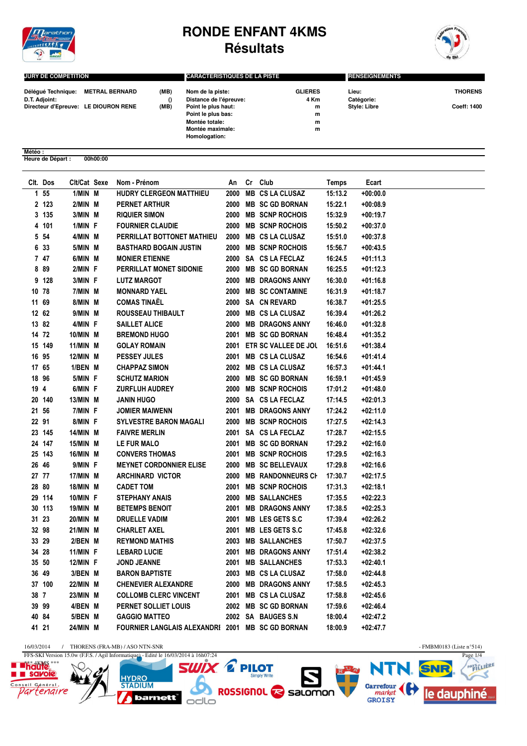

## **RONDE ENFANT 4KMS Résultats**



| <b>JURY DE COMPETITION</b>                  |      | <b>CARACTERISTIQUES DE LA PISTE</b> |                | <b>RENSEIGNEMENTS</b> |                    |  |
|---------------------------------------------|------|-------------------------------------|----------------|-----------------------|--------------------|--|
| <b>METRAL BERNARD</b><br>Déléqué Technique: | (MB) | Nom de la piste:                    | <b>GLIERES</b> | Lieu:                 | <b>THORENS</b>     |  |
| D.T. Adjoint:                               |      | Distance de l'épreuve:              | 4 Km           | Catégorie:            |                    |  |
| Directeur d'Epreuve: LE DIOURON RENE        | (MB) | Point le plus haut:                 | m              | <b>Style: Libre</b>   | <b>Coeff: 1400</b> |  |
|                                             |      | Point le plus bas:                  | m              |                       |                    |  |
|                                             |      | Montée totale:                      | m              |                       |                    |  |
|                                             |      | Montée maximale:                    | m              |                       |                    |  |
|                                             |      | Homologation:                       |                |                       |                    |  |

## **Météo : Heure de Départ : 00h00:00**

|       | Clt. Dos         | Clt/Cat Sexe    | Nom - Prénom                                     | An   | Cr Club                  | Temps   | Ecart      |
|-------|------------------|-----------------|--------------------------------------------------|------|--------------------------|---------|------------|
|       | $1\overline{55}$ | 1/MIN M         | HUDRY CLERGEON MATTHIEU                          | 2000 | <b>MB CS LA CLUSAZ</b>   | 15:13.2 | $+00:00.0$ |
|       | 2 123            | 2/MIN M         | PERNET ARTHUR                                    | 2000 | <b>MB SC GD BORNAN</b>   | 15:22.1 | $+00:08.9$ |
|       | 3 135            | 3/MIN M         | <b>RIQUIER SIMON</b>                             |      | 2000 MB SCNP ROCHOIS     | 15:32.9 | +00:19.7   |
|       | 4 101            | 1/MIN F         | <b>FOURNIER CLAUDIE</b>                          |      | 2000 MB SCNP ROCHOIS     | 15:50.2 | +00:37.0   |
|       | 5 54             | 4/MIN M         | PERRILLAT BOTTONET MATHIEU                       |      | 2000 MB CS LA CLUSAZ     | 15:51.0 | $+00:37.8$ |
|       | 6 33             | 5/MIN M         | <b>BASTHARD BOGAIN JUSTIN</b>                    | 2000 | <b>MB SCNP ROCHOIS</b>   | 15:56.7 | $+00:43.5$ |
|       | 747              | 6/MIN M         | <b>MONIER ETIENNE</b>                            |      | 2000 SA CS LA FECLAZ     | 16:24.5 | +01:11.3   |
|       | 8 8 9            | 2/MIN F         | PERRILLAT MONET SIDONIE                          | 2000 | <b>MB SC GD BORNAN</b>   | 16:25.5 | $+01:12.3$ |
|       | 9 128            | 3/MIN F         | <b>LUTZ MARGOT</b>                               | 2000 | <b>MB DRAGONS ANNY</b>   | 16:30.0 | $+01:16.8$ |
|       | 10 78            | 7/MIN M         | <b>MONNARD YAEL</b>                              | 2000 | <b>MB SC CONTAMINE</b>   | 16:31.9 | $+01:18.7$ |
|       | 11 69            | 8/MIN M         | <b>COMAS TINAËL</b>                              |      | 2000 SA CN REVARD        | 16:38.7 | +01:25.5   |
|       | 12 62            | 9/MIN M         | ROUSSEAU THIBAULT                                |      | 2000 MB CS LA CLUSAZ     | 16:39.4 | +01:26.2   |
|       | 13 82            | 4/MIN F         | <b>SAILLET ALICE</b>                             |      | 2000 MB DRAGONS ANNY     | 16:46.0 | +01:32.8   |
|       | 14 72            | 10/MIN M        | <b>BREMOND HUGO</b>                              |      | 2001 MB SC GD BORNAN     | 16:48.4 | +01:35.2   |
|       | 15 149           | 11/MIN M        | <b>GOLAY ROMAIN</b>                              | 2001 | ETR SC VALLEE DE JOL     | 16:51.6 | +01:38.4   |
|       | 16 95            | 12/MIN M        | <b>PESSEY JULES</b>                              | 2001 | <b>MB CS LA CLUSAZ</b>   | 16:54.6 | +01:41.4   |
|       | 17 65            | 1/BEN M         | <b>CHAPPAZ SIMON</b>                             |      | 2002 MB CS LA CLUSAZ     | 16:57.3 | +01:44.1   |
|       | 18 96            | 5/MIN F         | <b>SCHUTZ MARION</b>                             |      | 2000 MB SC GD BORNAN     | 16:59.1 | $+01:45.9$ |
| 19 4  |                  | 6/MIN F         | <b>ZURFLUH AUDREY</b>                            | 2000 | <b>MB SCNP ROCHOIS</b>   | 17:01.2 | $+01:48.0$ |
|       | 20 140           | 13/MIN M        | <b>JANIN HUGO</b>                                |      | 2000 SA CS LA FECLAZ     | 17:14.5 | +02:01.3   |
|       | 21 56            | 7/MIN F         | <b>JOMIER MAIWENN</b>                            |      | 2001 MB DRAGONS ANNY     | 17:24.2 | +02:11.0   |
|       | 22 91            | 8/MIN F         | <b>SYLVESTRE BARON MAGALI</b>                    |      | 2000 MB SCNP ROCHOIS     | 17:27.5 | $+02:14.3$ |
|       | 23 145           | 14/MIN M        | <b>FAIVRE MERLIN</b>                             |      | 2001 SA CS LA FECLAZ     | 17:28.7 | +02:15.5   |
|       | 24 147           | 15/MIN M        | LE FUR MALO                                      | 2001 | <b>MB SC GD BORNAN</b>   | 17:29.2 | +02:16.0   |
|       | 25 143           | 16/MIN M        | <b>CONVERS THOMAS</b>                            | 2001 | <b>MB SCNP ROCHOIS</b>   | 17:29.5 | +02:16.3   |
|       | 26 46            | 9/MIN F         | <b>MEYNET CORDONNIER ELISE</b>                   |      | 2000 MB SC BELLEVAUX     | 17:29.8 | +02:16.6   |
|       | 27 77            | 17/MIN M        | <b>ARCHINARD VICTOR</b>                          | 2000 | <b>MB RANDONNEURS CH</b> | 17:30.7 | +02:17.5   |
|       | 28 80            | <b>18/MIN M</b> | <b>CADET TOM</b>                                 | 2001 | <b>MB SCNP ROCHOIS</b>   | 17:31.3 | +02:18.1   |
|       | 29 114           | 10/MIN F        | <b>STEPHANY ANAIS</b>                            | 2000 | <b>MB SALLANCHES</b>     | 17:35.5 | +02:22.3   |
|       | 30 113           | 19/MIN M        | <b>BETEMPS BENOIT</b>                            | 2001 | <b>MB DRAGONS ANNY</b>   | 17:38.5 | $+02:25.3$ |
|       | 31 23            | 20/MIN M        | <b>DRUELLE VADIM</b>                             | 2001 | <b>MB LES GETS S.C</b>   | 17:39.4 | +02:26.2   |
|       | 32 98            | 21/MIN M        | <b>CHARLET AXEL</b>                              | 2001 | MB LES GETS S.C          | 17:45.8 | +02:32.6   |
|       | 33 29            | 2/BEN M         | <b>REYMOND MATHIS</b>                            | 2003 | <b>MB SALLANCHES</b>     | 17:50.7 | +02:37.5   |
|       | 34 28            | 11/MIN F        | <b>LEBARD LUCIE</b>                              | 2001 | <b>MB DRAGONS ANNY</b>   | 17:51.4 | +02:38.2   |
|       | 35 50            | <b>12/MIN F</b> | <b>JOND JEANNE</b>                               |      | 2001 MB SALLANCHES       | 17:53.3 | +02:40.1   |
|       | 36 49            | 3/BEN M         | <b>BARON BAPTISTE</b>                            |      | 2003 MB CS LA CLUSAZ     | 17:58.0 | $+02:44.8$ |
|       | 37 100           | 22/MIN M        | <b>CHENEVIER ALEXANDRE</b>                       |      | 2000 MB DRAGONS ANNY     | 17:58.5 | $+02:45.3$ |
| 38 7  |                  | 23/MIN M        | <b>COLLOMB CLERC VINCENT</b>                     |      | 2001 MB CS LA CLUSAZ     | 17:58.8 | $+02:45.6$ |
|       | 39 99            | 4/BEN M         | PERNET SOLLIET LOUIS                             |      | 2002 MB SC GD BORNAN     | 17:59.6 | $+02:46.4$ |
|       | 40 84            | 5/BEN M         | <b>GAGGIO MATTEO</b>                             |      | 2002 SA BAUGES S.N       | 18:00.4 | +02:47.2   |
| 41 21 |                  | 24/MIN M        | FOURNIER LANGLAIS ALEXANDRI 2001 MB SC GD BORNAN |      |                          | 18:00.9 | +02:47.7   |

16/03/2014 / THORENS (FRA-MB) / ASO NTN-SNR - FMBM0183 (Liste n°514)

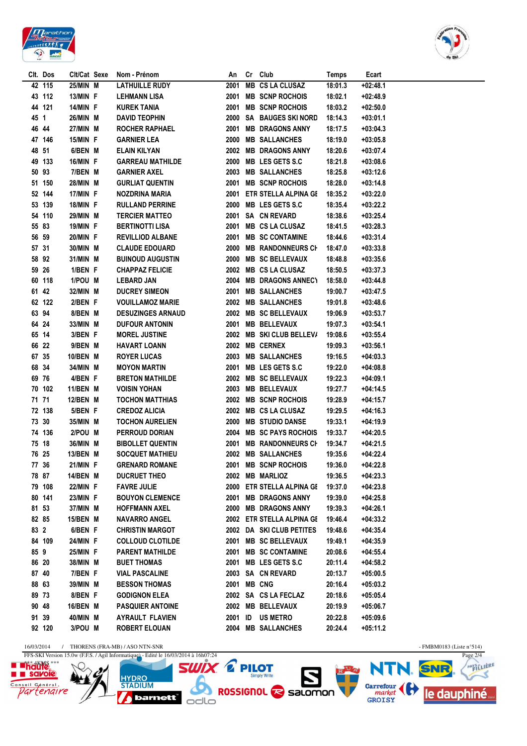



|       | Clt. Dos | Clt/Cat Sexe    | Nom - Prénom             | An   |    | Cr Club                    | <b>Temps</b> | Ecart      |
|-------|----------|-----------------|--------------------------|------|----|----------------------------|--------------|------------|
|       | 42 115   | 25/MIN M        | <b>LATHUILLE RUDY</b>    | 2001 |    | <b>MB CS LA CLUSAZ</b>     | 18:01.3      | $+02:48.1$ |
|       | 43 112   | 13/MIN F        | <b>LEHMANN LISA</b>      | 2001 |    | <b>MB SCNP ROCHOIS</b>     | 18:02.1      | $+02:48.9$ |
|       | 44 121   | 14/MIN F        | <b>KUREK TANIA</b>       | 2001 |    | <b>MB SCNP ROCHOIS</b>     | 18:03.2      | $+02:50.0$ |
| 45 1  |          | 26/MIN M        | <b>DAVID TEOPHIN</b>     | 2000 |    | <b>SA BAUGES SKI NORD</b>  | 18:14.3      | $+03:01.1$ |
| 46 44 |          | 27/MIN M        | ROCHER RAPHAEL           | 2001 |    | <b>MB DRAGONS ANNY</b>     | 18:17.5      | $+03:04.3$ |
|       | 47 146   | 15/MIN F        | <b>GARNIER LEA</b>       | 2000 |    | <b>MB SALLANCHES</b>       | 18:19.0      | $+03:05.8$ |
| 48 51 |          | 6/BEN M         | <b>ELAIN KILYAN</b>      | 2002 |    | <b>MB DRAGONS ANNY</b>     | 18:20.6      | $+03:07.4$ |
|       | 49 133   | 16/MIN F        | <b>GARREAU MATHILDE</b>  | 2000 |    | MB LES GETS S.C            | 18:21.8      | $+03:08.6$ |
| 50 93 |          | 7/BEN M         | <b>GARNIER AXEL</b>      | 2003 |    | <b>MB SALLANCHES</b>       | 18:25.8      | $+03:12.6$ |
|       | 51 150   | 28/MIN M        | <b>GURLIAT QUENTIN</b>   | 2001 |    | <b>MB SCNP ROCHOIS</b>     | 18:28.0      | $+03:14.8$ |
|       | 52 144   | 17/MIN F        | <b>NOZDRINA MARIA</b>    | 2001 |    | ETR STELLA ALPINA GE       | 18:35.2      | $+03:22.0$ |
|       | 53 139   | 18/MIN F        | <b>RULLAND PERRINE</b>   | 2000 |    | <b>MB LES GETS S.C</b>     | 18:35.4      | $+03:22.2$ |
|       | 54 110   | 29/MIN M        | <b>TERCIER MATTEO</b>    |      |    | 2001 SA CN REVARD          | 18:38.6      | $+03:25.4$ |
| 55 83 |          | <b>19/MIN F</b> | <b>BERTINOTTI LISA</b>   | 2001 |    | <b>MB CS LA CLUSAZ</b>     | 18:41.5      | $+03:28.3$ |
| 56 59 |          | 20/MIN F        | <b>REVILLIOD ALBANE</b>  | 2001 |    | <b>MB SC CONTAMINE</b>     | 18:44.6      | $+03:31.4$ |
| 57 31 |          | 30/MIN M        | <b>CLAUDE EDOUARD</b>    |      |    | 2000 MB RANDONNEURS CH     | 18:47.0      | $+03:33.8$ |
| 58 92 |          | 31/MIN M        | <b>BUINOUD AUGUSTIN</b>  | 2000 |    | <b>MB SC BELLEVAUX</b>     | 18:48.8      | $+03:35.6$ |
| 59 26 |          | 1/BEN F         | <b>CHAPPAZ FELICIE</b>   | 2002 |    | <b>MB CS LA CLUSAZ</b>     | 18:50.5      | $+03:37.3$ |
|       | 60 118   | 1/POU M         | <b>LEBARD JAN</b>        | 2004 |    | <b>MB DRAGONS ANNECY</b>   | 18:58.0      | $+03:44.8$ |
| 61 42 |          | 32/MIN M        | <b>DUCREY SIMEON</b>     | 2001 |    | <b>MB SALLANCHES</b>       | 19:00.7      | $+03:47.5$ |
|       | 62 122   | 2/BEN F         | <b>VOUILLAMOZ MARIE</b>  | 2002 |    | <b>MB SALLANCHES</b>       | 19:01.8      | $+03:48.6$ |
| 63 94 |          | 8/BEN M         | <b>DESUZINGES ARNAUD</b> | 2002 |    | <b>MB SC BELLEVAUX</b>     | 19:06.9      | $+03:53.7$ |
| 64 24 |          | 33/MIN M        | <b>DUFOUR ANTONIN</b>    | 2001 |    | <b>MB BELLEVAUX</b>        | 19:07.3      | $+03:54.1$ |
| 65 14 |          | 3/BEN F         | <b>MOREL JUSTINE</b>     | 2002 |    | <b>MB SKI CLUB BELLEV/</b> | 19:08.6      | $+03:55.4$ |
| 66 22 |          | 9/BEN M         | <b>HAVART LOANN</b>      | 2002 |    | <b>MB CERNEX</b>           | 19:09.3      | $+03:56.1$ |
| 67 35 |          | 10/BEN M        | <b>ROYER LUCAS</b>       | 2003 |    | <b>MB SALLANCHES</b>       | 19:16.5      | $+04:03.3$ |
| 68 34 |          | 34/MIN M        | <b>MOYON MARTIN</b>      | 2001 |    | MB LES GETS S.C            | 19:22.0      | $+04:08.8$ |
| 69 76 |          | 4/BEN F         | <b>BRETON MATHILDE</b>   | 2002 |    | <b>MB SC BELLEVAUX</b>     | 19:22.3      | $+04:09.1$ |
|       | 70 102   | 11/BEN M        | <b>VOISIN YOHAN</b>      | 2003 |    | <b>MB BELLEVAUX</b>        | 19:27.7      | $+04:14.5$ |
| 71 71 |          | 12/BEN M        | <b>TOCHON MATTHIAS</b>   | 2002 |    | <b>MB SCNP ROCHOIS</b>     | 19:28.9      | $+04:15.7$ |
|       | 72 138   | 5/BEN F         | <b>CREDOZ ALICIA</b>     | 2002 |    | <b>MB CS LA CLUSAZ</b>     | 19:29.5      | $+04:16.3$ |
| 73 30 |          | 35/MIN M        | <b>TOCHON AURELIEN</b>   | 2000 |    | <b>MB STUDIO DANSE</b>     | 19:33.1      | $+04:19.9$ |
|       | 74 136   | 2/POU M         | PERROUD DORIAN           | 2004 |    | <b>MB SC PAYS ROCHOIS</b>  | 19:33.7      | $+04:20.5$ |
| 75 18 |          | 36/MIN M        | <b>BIBOLLET QUENTIN</b>  | 2001 |    | <b>MB RANDONNEURS CH</b>   | 19:34.7      | $+04:21.5$ |
| 76 25 |          | 13/BEN M        | <b>SOCQUET MATHIEU</b>   |      |    | 2002 MB SALLANCHES         | 19:35.6      | $+04:22.4$ |
| 77 36 |          | 21/MIN F        | <b>GRENARD ROMANE</b>    |      |    | 2001 MB SCNP ROCHOIS       | 19:36.0      | $+04:22.8$ |
| 78 87 |          | 14/BEN M        | <b>DUCRUET THEO</b>      |      |    | 2002 MB MARLIOZ            | 19:36.5      | $+04:23.3$ |
|       | 79 108   | 22/MIN F        | <b>FAVRE JULIE</b>       |      |    | 2000 ETR STELLA ALPINA GE  | 19:37.0      | $+04:23.8$ |
|       | 80 141   | 23/MIN F        | <b>BOUYON CLEMENCE</b>   |      |    | 2001 MB DRAGONS ANNY       | 19:39.0      | $+04:25.8$ |
| 81 53 |          | 37/MIN M        | <b>HOFFMANN AXEL</b>     |      |    | 2000 MB DRAGONS ANNY       | 19:39.3      | $+04:26.1$ |
| 82 85 |          | 15/BEN M        | <b>NAVARRO ANGEL</b>     |      |    | 2002 ETR STELLA ALPINA GE  | 19:46.4      | $+04:33.2$ |
| 83 2  |          | 6/BEN F         | <b>CHRISTIN MARGOT</b>   |      |    | 2002 DA SKI CLUB PETITES   | 19:48.6      | $+04:35.4$ |
|       | 84 109   | 24/MIN F        | <b>COLLOUD CLOTILDE</b>  | 2001 |    | <b>MB SC BELLEVAUX</b>     | 19:49.1      | $+04:35.9$ |
| 85 9  |          | 25/MIN F        | <b>PARENT MATHILDE</b>   | 2001 |    | <b>MB SC CONTAMINE</b>     | 20:08.6      | $+04:55.4$ |
| 86 20 |          | 38/MIN M        | <b>BUET THOMAS</b>       | 2001 |    | MB LES GETS S.C            | 20:11.4      | $+04:58.2$ |
| 87 40 |          | 7/BEN F         | <b>VIAL PASCALINE</b>    | 2003 |    | <b>SA CN REVARD</b>        | 20:13.7      | $+05:00.5$ |
| 88 63 |          | 39/MIN M        | <b>BESSON THOMAS</b>     | 2001 |    | <b>MB CNG</b>              | 20:16.4      | $+05:03.2$ |
| 89 73 |          | 8/BEN F         | <b>GODIGNON ELEA</b>     |      |    | 2002 SA CS LA FECLAZ       | 20:18.6      | $+05:05.4$ |
| 90 48 |          | 16/BEN M        | <b>PASQUIER ANTOINE</b>  |      |    | 2002 MB BELLEVAUX          | 20:19.9      | $+05:06.7$ |
| 91 39 |          | 40/MIN M        | <b>AYRAULT FLAVIEN</b>   | 2001 | ID | <b>US METRO</b>            | 20:22.8      | $+05:09.6$ |
|       | 92 120   | 3/POU M         | <b>ROBERT ELOUAN</b>     |      |    | 2004 MB SALLANCHES         | 20:24.4      | $+05:11.2$ |
|       |          |                 |                          |      |    |                            |              |            |

16/03/2014 / THORENS (FRA-MB) / ASO NTN-SNR - FMBM0183 (Liste n°514)



**ONE OF PILOT SUDDENLAND REPAIR HYDRO**<br>STADIUM barnett<sup>"</sup> odlo



PAYSTLIERE

Ӡ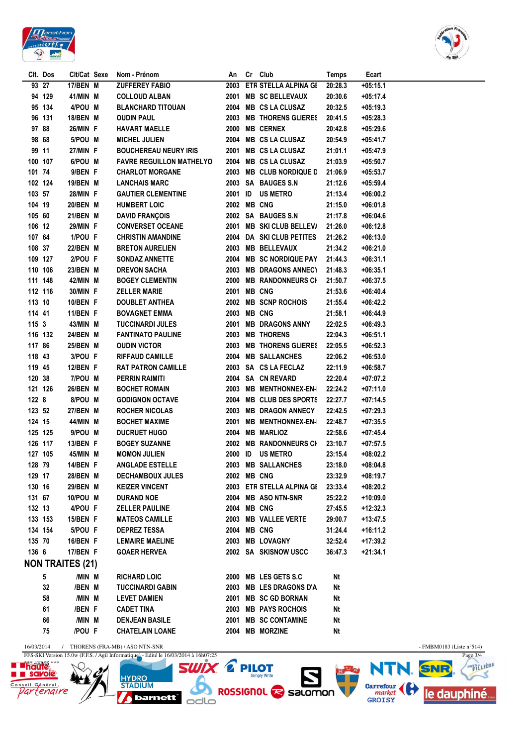



|         | Clt. Dos | Clt/Cat Sexe            | Nom - Prénom                                | An      | Cr Club                   | Temps   | Ecart      |                             |
|---------|----------|-------------------------|---------------------------------------------|---------|---------------------------|---------|------------|-----------------------------|
|         | 93 27    | 17/BEN M                | <b>ZUFFEREY FABIO</b>                       |         | 2003 ETR STELLA ALPINA GE | 20:28.3 | $+05:15.1$ |                             |
|         | 94 129   | 41/MIN M                | <b>COLLOUD ALBAN</b>                        |         | 2001 MB SC BELLEVAUX      | 20:30.6 | $+05:17.4$ |                             |
|         | 95 134   | 4/POU M                 | <b>BLANCHARD TITOUAN</b>                    |         | 2004 MB CS LA CLUSAZ      | 20:32.5 | $+05:19.3$ |                             |
|         | 96 131   | 18/BEN M                | <b>OUDIN PAUL</b>                           |         | 2003 MB THORENS GLIERES   | 20:41.5 | $+05:28.3$ |                             |
| 97 88   |          | 26/MIN F                | <b>HAVART MAELLE</b>                        |         | 2000 MB CERNEX            | 20:42.8 | $+05:29.6$ |                             |
| 98 68   |          | 5/POU M                 | <b>MICHEL JULIEN</b>                        |         | 2004 MB CS LA CLUSAZ      | 20:54.9 | $+05:41.7$ |                             |
| 99 11   |          | 27/MIN F                | <b>BOUCHEREAU NEURY IRIS</b>                |         | 2001 MB CS LA CLUSAZ      | 21:01.1 | $+05:47.9$ |                             |
| 100 107 |          | 6/POU M                 | <b>FAVRE REGUILLON MATHELYO</b>             |         | 2004 MB CS LA CLUSAZ      | 21:03.9 | $+05:50.7$ |                             |
| 101 74  |          | 9/BEN F                 | <b>CHARLOT MORGANE</b>                      |         | 2003 MB CLUB NORDIQUE D   | 21:06.9 | $+05:53.7$ |                             |
| 102 124 |          | 19/BEN M                | <b>LANCHAIS MARC</b>                        |         | 2003 SA BAUGES S.N        | 21:12.6 | $+05:59.4$ |                             |
| 103 57  |          | 28/MIN F                | <b>GAUTIER CLEMENTINE</b>                   | 2001 ID | <b>US METRO</b>           | 21:13.4 | $+06:00.2$ |                             |
| 104 19  |          | 20/BEN M                | <b>HUMBERT LOIC</b>                         |         | 2002 MB CNG               | 21:15.0 | $+06:01.8$ |                             |
| 105 60  |          | 21/BEN M                | <b>DAVID FRANÇOIS</b>                       |         | 2002 SA BAUGES S.N        | 21:17.8 | $+06:04.6$ |                             |
| 106 12  |          | 29/MIN F                | <b>CONVERSET OCEANE</b>                     |         | 2001 MB SKI CLUB BELLEV/  | 21:26.0 | $+06:12.8$ |                             |
| 107 64  |          | 1/POU F                 | <b>CHRISTIN AMANDINE</b>                    |         | 2004 DA SKI CLUB PETITES  | 21:26.2 | $+06:13.0$ |                             |
| 108 37  |          | 22/BEN M                | <b>BRETON AURELIEN</b>                      |         | 2003 MB BELLEVAUX         | 21:34.2 | $+06:21.0$ |                             |
| 109 127 |          |                         | <b>SONDAZ ANNETTE</b>                       |         | 2004 MB SC NORDIQUE PAY   |         |            |                             |
|         |          | 2/POU F                 |                                             |         |                           | 21:44.3 | $+06:31.1$ |                             |
| 110 106 |          | 23/BEN M                | <b>DREVON SACHA</b>                         |         | 2003 MB DRAGONS ANNECT    | 21:48.3 | $+06:35.1$ |                             |
| 111 148 |          | 42/MIN M                | <b>BOGEY CLEMENTIN</b>                      |         | 2000 MB RANDONNEURS CH    | 21:50.7 | $+06:37.5$ |                             |
| 112 116 |          | 30/MIN F                | <b>ZELLER MARIE</b>                         |         | 2001 MB CNG               | 21:53.6 | $+06:40.4$ |                             |
| 113 10  |          | 10/BEN F                | <b>DOUBLET ANTHEA</b>                       |         | 2002 MB SCNP ROCHOIS      | 21:55.4 | $+06:42.2$ |                             |
| 114 41  |          | 11/BEN F                | <b>BOVAGNET EMMA</b>                        |         | 2003 MB CNG               | 21:58.1 | $+06:44.9$ |                             |
| 1153    |          | 43/MIN M                | <b>TUCCINARDI JULES</b>                     |         | 2001 MB DRAGONS ANNY      | 22:02.5 | $+06:49.3$ |                             |
| 116 132 |          | 24/BEN M                | <b>FANTINATO PAULINE</b>                    |         | 2003 MB THORENS           | 22:04.3 | $+06:51.1$ |                             |
| 117 86  |          | 25/BEN M                | <b>OUDIN VICTOR</b>                         |         | 2003 MB THORENS GLIERES   | 22:05.5 | $+06:52.3$ |                             |
| 118 43  |          | 3/POU F                 | <b>RIFFAUD CAMILLE</b>                      |         | 2004 MB SALLANCHES        | 22:06.2 | $+06:53.0$ |                             |
| 119 45  |          | 12/BEN F                | <b>RAT PATRON CAMILLE</b>                   |         | 2003 SA CS LA FECLAZ      | 22:11.9 | $+06:58.7$ |                             |
| 120 38  |          | 7/POU M                 | <b>PERRIN RAIMITI</b>                       |         | 2004 SA CN REVARD         | 22:20.4 | $+07:07.2$ |                             |
| 121 126 |          | 26/BEN M                | <b>BOCHET ROMAIN</b>                        |         | 2003 MB MENTHONNEX-EN-I   | 22:24.2 | +07:11.0   |                             |
| 122 8   |          | 8/POU M                 | <b>GODIGNON OCTAVE</b>                      |         | 2004 MB CLUB DES SPORTS   | 22:27.7 | +07:14.5   |                             |
| 123 52  |          | 27/BEN M                | <b>ROCHER NICOLAS</b>                       |         | 2003 MB DRAGON ANNECY     | 22:42.5 | $+07:29.3$ |                             |
| 124 15  |          | 44/MIN M                | <b>BOCHET MAXIME</b>                        |         | 2001 MB MENTHONNEX-EN-I   | 22:48.7 | $+07:35.5$ |                             |
| 125 125 |          | 9/POU M                 | <b>DUCRUET HUGO</b>                         |         | 2004 MB MARLIOZ           | 22:58.6 | +07:45.4   |                             |
| 126 117 |          | 13/BEN F                | <b>BOGEY SUZANNE</b>                        |         | 2002 MB RANDONNEURS CH    | 23:10.7 | $+07:57.5$ |                             |
| 127 105 |          | 45/MIN M                | <b>MOMON JULIEN</b>                         | 2000 ID | <b>US METRO</b>           | 23:15.4 | $+08:02.2$ |                             |
| 128 79  |          | 14/BEN F                | <b>ANGLADE ESTELLE</b>                      |         | 2003 MB SALLANCHES        | 23:18.0 | +08:04.8   |                             |
| 129 17  |          | 28/BEN M                | <b>DECHAMBOUX JULES</b>                     |         | <b>2002 MB CNG</b>        | 23:32.9 | $+08:19.7$ |                             |
| 130 16  |          | 29/BEN M                | <b>KEIZER VINCENT</b>                       |         | 2003 ETR STELLA ALPINA GE | 23:33.4 | $+08:20.2$ |                             |
| 131 67  |          | 10/POU M                | <b>DURAND NOE</b>                           |         | 2004 MB ASO NTN-SNR       | 25:22.2 | +10:09.0   |                             |
| 132 13  |          | 4/POU F                 | <b>ZELLER PAULINE</b>                       |         | 2004 MB CNG               | 27:45.5 | $+12:32.3$ |                             |
| 133 153 |          | 15/BEN F                | <b>MATEOS CAMILLE</b>                       |         | 2003 MB VALLEE VERTE      | 29:00.7 | $+13:47.5$ |                             |
| 134 154 |          | 5/POU F                 | <b>DEPREZ TESSA</b>                         |         | 2004 MB CNG               | 31:24.4 | +16:11.2   |                             |
| 135 70  |          | 16/BEN F                | <b>LEMAIRE MAELINE</b>                      |         | 2003 MB LOVAGNY           | 32:52.4 | +17:39.2   |                             |
| 136 6   |          | 17/BEN F                | <b>GOAER HERVEA</b>                         |         | 2002 SA SKISNOW USCC      | 36:47.3 | $+21:34.1$ |                             |
|         |          | <b>NON TRAITES (21)</b> |                                             |         |                           |         |            |                             |
|         |          |                         |                                             |         |                           |         |            |                             |
|         | 5        | /MIN M                  | <b>RICHARD LOIC</b>                         |         | 2000 MB LES GETS S.C      | Nt      |            |                             |
|         | 32       | /BEN M                  | <b>TUCCINARDI GABIN</b>                     |         | 2003 MB LES DRAGONS D'A   | Nt      |            |                             |
|         | 58       | /MIN M                  | <b>LEVET DAMIEN</b>                         |         | 2001 MB SC GD BORNAN      | Nt      |            |                             |
|         | 61       | /BEN F                  | <b>CADET TINA</b>                           |         | 2003 MB PAYS ROCHOIS      | Nt      |            |                             |
|         | 66       | /MIN M                  | <b>DENJEAN BASILE</b>                       |         | 2001 MB SC CONTAMINE      | Nt      |            |                             |
|         | 75       | /POU F                  | <b>CHATELAIN LOANE</b>                      |         | 2004 MB MORZINE           | Nt      |            |                             |
|         |          |                         | 16/03/2014 / THORENS (FRA-MB) / ASO NTN-SNR |         |                           |         |            | - FMBM0183 (Liste $n°514$ ) |